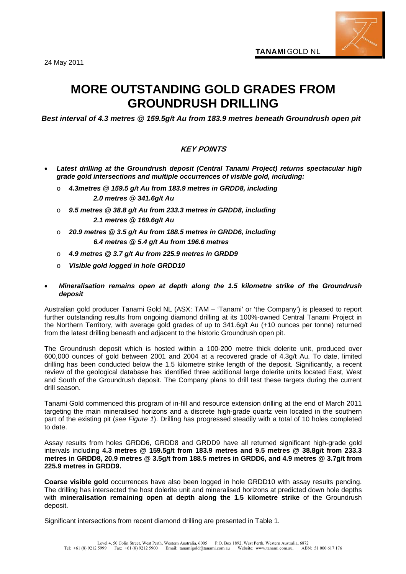24 May 2011



## **MORE OUTSTANDING GOLD GRADES FROM GROUNDRUSH DRILLING**

*Best interval of 4.3 metres @ 159.5g/t Au from 183.9 metres beneath Groundrush open pit* 

## **KEY POINTS**

- *Latest drilling at the Groundrush deposit (Central Tanami Project) returns spectacular high grade gold intersections and multiple occurrences of visible gold, including:* 
	- o *4.3metres @ 159.5 g/t Au from 183.9 metres in GRDD8, including 2.0 metres @ 341.6g/t Au*
	- o *9.5 metres @ 38.8 g/t Au from 233.3 metres in GRDD8, including 2.1 metres @ 169.6g/t Au*
	- o *20.9 metres @ 3.5 g/t Au from 188.5 metres in GRDD6, including 6.4 metres @ 5.4 g/t Au from 196.6 metres*
	- o *4.9 metres @ 3.7 g/t Au from 225.9 metres in GRDD9*
	- o *Visible gold logged in hole GRDD10*
- *Mineralisation remains open at depth along the 1.5 kilometre strike of the Groundrush deposit*

Australian gold producer Tanami Gold NL (ASX: TAM – 'Tanami' or 'the Company') is pleased to report further outstanding results from ongoing diamond drilling at its 100%-owned Central Tanami Project in the Northern Territory, with average gold grades of up to 341.6g/t Au (+10 ounces per tonne) returned from the latest drilling beneath and adjacent to the historic Groundrush open pit.

The Groundrush deposit which is hosted within a 100-200 metre thick dolerite unit, produced over 600,000 ounces of gold between 2001 and 2004 at a recovered grade of 4.3g/t Au. To date, limited drilling has been conducted below the 1.5 kilometre strike length of the deposit. Significantly, a recent review of the geological database has identified three additional large dolerite units located East, West and South of the Groundrush deposit. The Company plans to drill test these targets during the current drill season.

Tanami Gold commenced this program of in-fill and resource extension drilling at the end of March 2011 targeting the main mineralised horizons and a discrete high-grade quartz vein located in the southern part of the existing pit (*see Figure 1*). Drilling has progressed steadily with a total of 10 holes completed to date.

Assay results from holes GRDD6, GRDD8 and GRDD9 have all returned significant high-grade gold intervals including **4.3 metres @ 159.5g/t from 183.9 metres and 9.5 metres @ 38.8g/t from 233.3 metres in GRDD8, 20.9 metres @ 3.5g/t from 188.5 metres in GRDD6, and 4.9 metres @ 3.7g/t from 225.9 metres in GRDD9.**

**Coarse visible gold** occurrences have also been logged in hole GRDD10 with assay results pending. The drilling has intersected the host dolerite unit and mineralised horizons at predicted down hole depths with **mineralisation remaining open at depth along the 1.5 kilometre strike** of the Groundrush deposit.

Significant intersections from recent diamond drilling are presented in Table 1.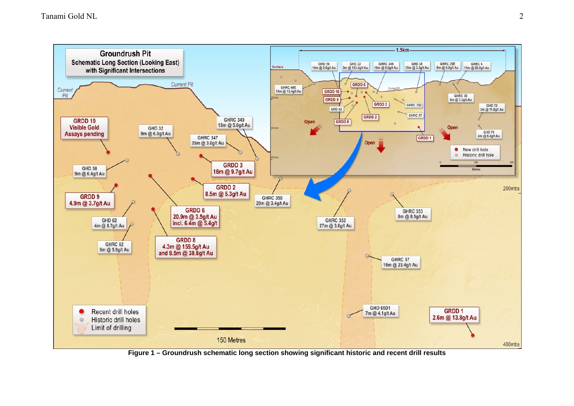

**Figure 1 – Groundrush schematic long section showing significant historic and recent drill results**